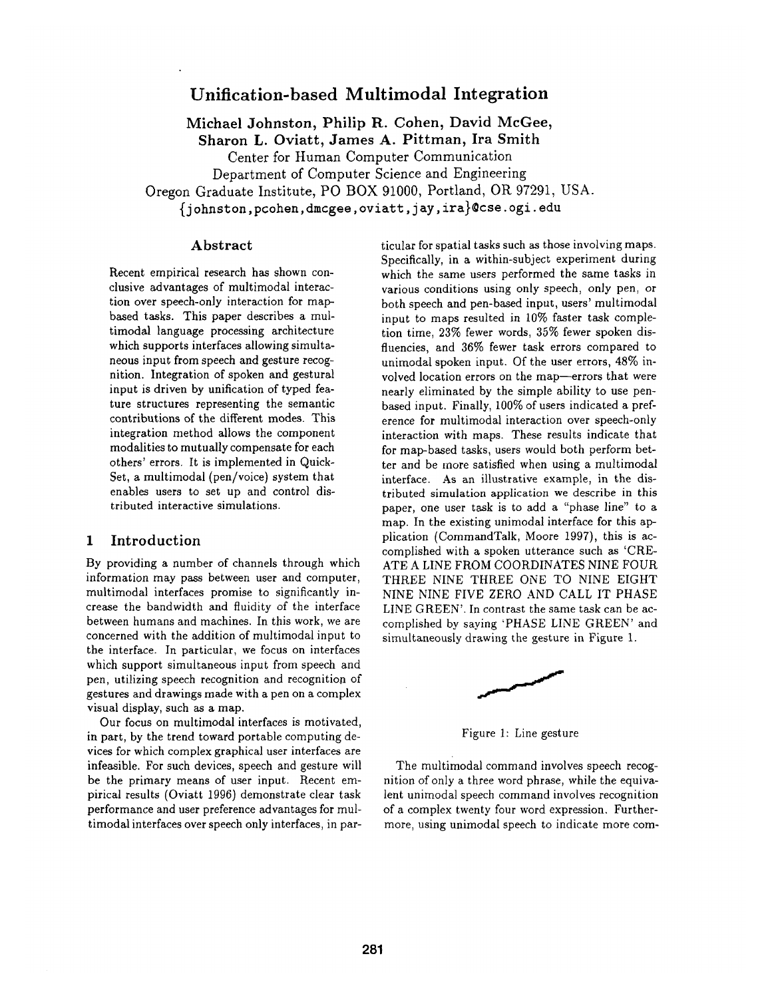# **Unification-based Multimodal Integration**

Michael Johnston, Philip R. Cohen, David McGee, Sharon L. Oviatt, James A. Pittman, Ira Smith Center for Human Computer Communication Department of Computer Science and Engineering Oregon Graduate Institute, PO BOX 91000, Portland, OR 97291, USA. {johnston, pcohen, dmcgee, oviatt, jay, ira}©cse, ogi. edu

### Abstract

Recent empirical research has shown conclusive advantages of multimodal interaction over speech-only interaction for mapbased tasks. This paper describes a multimodal language processing architecture which supports interfaces allowing simultaneous input from speech and gesture recognition. Integration of spoken and gestural input is driven by unification of typed feature structures representing the semantic contributions of the different modes. This integration method allows the component modalities to mutually compensate for each others' errors. It is implemented in Quick-Set, a multimodal (pen/voice) system that enables users to set up and control distributed interactive simulations.

### 1 Introduction

By providing a number of channels through which information may pass between user and computer, multimodal interfaces promise to significantly increase the bandwidth and fluidity of the interface between humans and machines. In this work, we are concerned with the addition of multimodal input to the interface. In particular, we focus on interfaces which support simultaneous input from speech and pen, utilizing speech recognition and recognition of gestures and drawings made with a pen on a complex visual display, such as a map.

Our focus on multimodal interfaces is motivated, in part, by the trend toward portable computing devices for which complex graphical user interfaces are infeasible. For such devices, speech and gesture will be the primary means of user input. Recent empirical results (Oviatt 1996) demonstrate clear task performance and user preference advantages for multimodal interfaces over speech only interfaces, in particular for spatial tasks such as those involving maps. Specifically, in a within-subject experiment during which the same users performed the same tasks in various conditions using only speech, only pen, or both speech and pen-based input, users' multimodal input to maps resulted in 10% faster task completion time, 23% fewer words, 35% fewer spoken disfluencies, and 36% fewer task errors compared to unimodal spoken input. Of the user errors, 48% involved location errors on the map-errors that were nearly eliminated by the simple ability to use penbased input. Finally, 100% of users indicated a preference for multimodal interaction over speech-only interaction with maps. These results indicate that for map-based tasks, users would both perform better and be more satisfied when using a multimodal interface. As an illustrative example, in the distributed simulation application we describe in this paper, one user task is to add a "phase line" to a map. In the existing unimodal interface for this application (CommandTalk, Moore 1997), this is accomplished with a spoken utterance such as 'CRE-ATE A LINE FROM COORDINATES NINE FOUR THREE NINE THREE ONE TO NINE EIGHT NINE NINE FIVE ZERO AND CALL IT PHASE LINE GREEN'. In contrast the same task can be accomplished by saying 'PHASE LINE GREEN' and simultaneously drawing the gesture in Figure 1.



Figure 1: Line gesture

The multimodal command involves speech recognition of only a three word phrase, while the equivalent unimodal speech command involves recognition of a complex twenty four word expression. Furthermore, using unimodal speech to indicate more com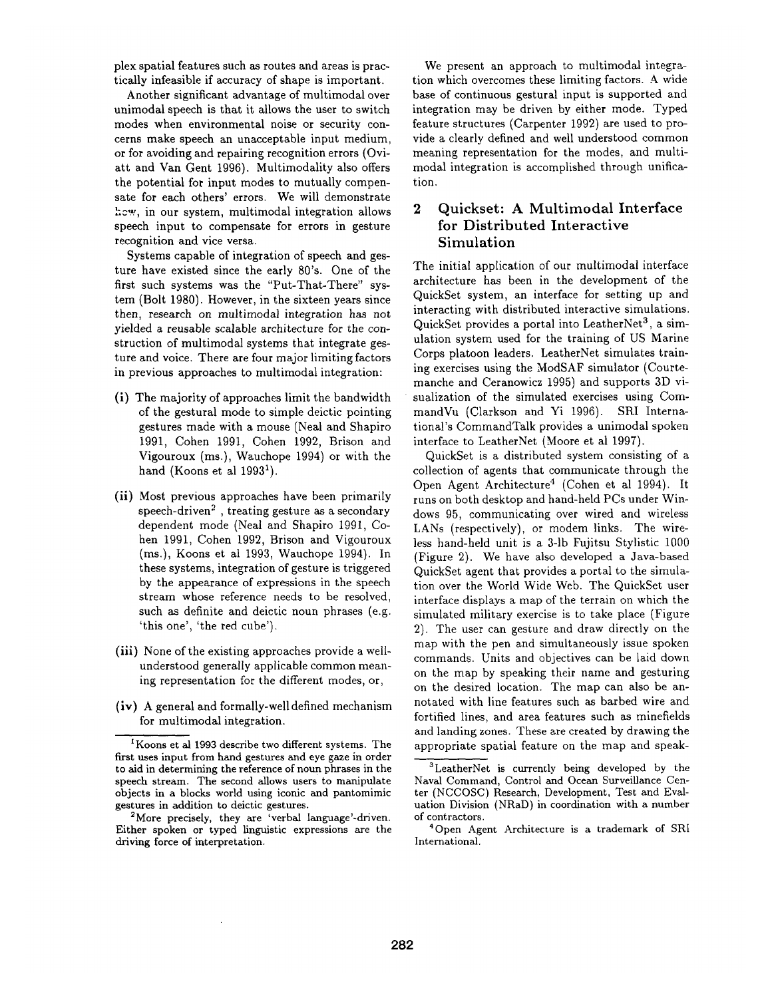plex spatial features such as routes and areas is practically infeasible if accuracy of shape is important.

Another significant advantage of multimodal over unimodal speech is that it allows the user to switch modes when environmental noise or security concerns make speech an unacceptable input medium, or for avoiding and repairing recognition errors (Oviatt and Van Gent 1996). Multimodality also offers the potential for input modes to mutually compensate for each others' errors. We will demonstrate hew, in our system, multimodal integration allows speech input to compensate for errors in gesture recognition and vice versa.

Systems capable of integration of speech and gesture have existed since the early 80's. One of the first such systems was the "Put-That-There" system (Bolt 1980). However, in the sixteen years since then, research on multimodal integration has not yielded a reusable scalable architecture for the *con*struction of multimodal systems that integrate gesture and voice. There are four major limiting factors in previous approaches to multimodal integration:

- (1) The majority of approaches limit the bandwidth of the gestural mode to simple deictic pointing gestures made with a mouse (Neal and Shapiro 1991, Cohen 1991, Cohen 1992, Brison and Vigouroux (ms.), Wauchope 1994) or with the hand (Koons et al 1993<sup>1</sup>).
- (ii) Most previous approaches have been primarily speech-driven<sup>2</sup>, treating gesture as a secondary dependent mode (Neal and Shapiro 1991, Cohen 1991, Cohen 1992, Brison and Vigouroux (ms.), Koons et al 1993, Wauchope 1994). In these systems, integration of gesture is triggered by the appearance of expressions in the speech stream whose reference needs to be resolved, such as definite and deictic noun phrases (e.g. 'this one', 'the red cube').
- (iii) None of the existing approaches provide a wellunderstood generally applicable common meaning representation for the different modes, or,
- (iv) A general and formally-welldefined mechanism for multimodal integration.

We present an approach to multimodal integration which overcomes these limiting factors. A wide base of continuous gestural input is supported and integration may be driven by either mode. Typed feature structures (Carpenter 1992) are used to provide a clearly defined and well understood common meaning representation for the modes, and multimodal integration is accomplished through unification.

# 2 Quickset: A Multimodal Interface for Distributed Interactive Simulation

The initial application of our multimodal interface architecture has been in the development of the QuickSet system, an interface for setting up and interacting with distributed interactive simulations. QuickSet provides a portal into LeatherNet<sup>3</sup>, a simulation system used for the training of US Marine Corps platoon leaders. LeatherNet simulates training exercises using the ModSAF simulator (Courtemanche and Ceranowicz 1995) and supports 3D visualization of the simulated exercises using CommandVu (Clarkson and Yi 1996). SRI International's CommandTalk provides a unimodal spoken interface to LeatherNet (Moore et al 1997).

QuickSet is a distributed system consisting of a collection of agents that communicate through the Open Agent Architecture<sup>4</sup> (Cohen et al 1994). It runs on both desktop and hand-held PCs under Windows 95, communicating over wired and wireless LANs (respectively), or modem links. The wireless hand-held unit is a 3-1b Fujitsu Stylistic 1000 (Figure 2). We have also developed a Java-based QuickSet agent that provides a portal to the simulation over the World Wide Web. The QuickSet user interface displays a map of the terrain on which the simulated military exercise is to take place (Figure 2). The user can gesture and draw directly on the map with the pen and simultaneously issue spoken commands. Units and objectives can be laid down on the map by speaking their name and gesturing on the desired location. The map can also be annotated with line features such as barbed wire and fortified lines, and area features such as minefields and landing zones. These are created by drawing the appropriate spatial feature on the map and speak-

I Koons et al 1993 describe two different systems. The first uses input from hand gestures and eye gaze in order to aid in determining the reference of noun phrases in the speech stream. The second allows users to manipulate objects in a blocks world using iconic and pantomimic gestures in addition to deictic gestures.

 $2^2$ More precisely, they are 'verbal language'-driven. Either spoken or typed linguistic expressions are the driving force of interpretation.

<sup>&</sup>lt;sup>3</sup>LeatherNet is currently being developed by the Naval Command, Control and Ocean Surveillance Center (NCCOSC) Research, Development, Test and Evaluation Division (NRaD) in coordination with a number of contractors.

<sup>4</sup>Open Agent Architecture is a trademark of SRI International.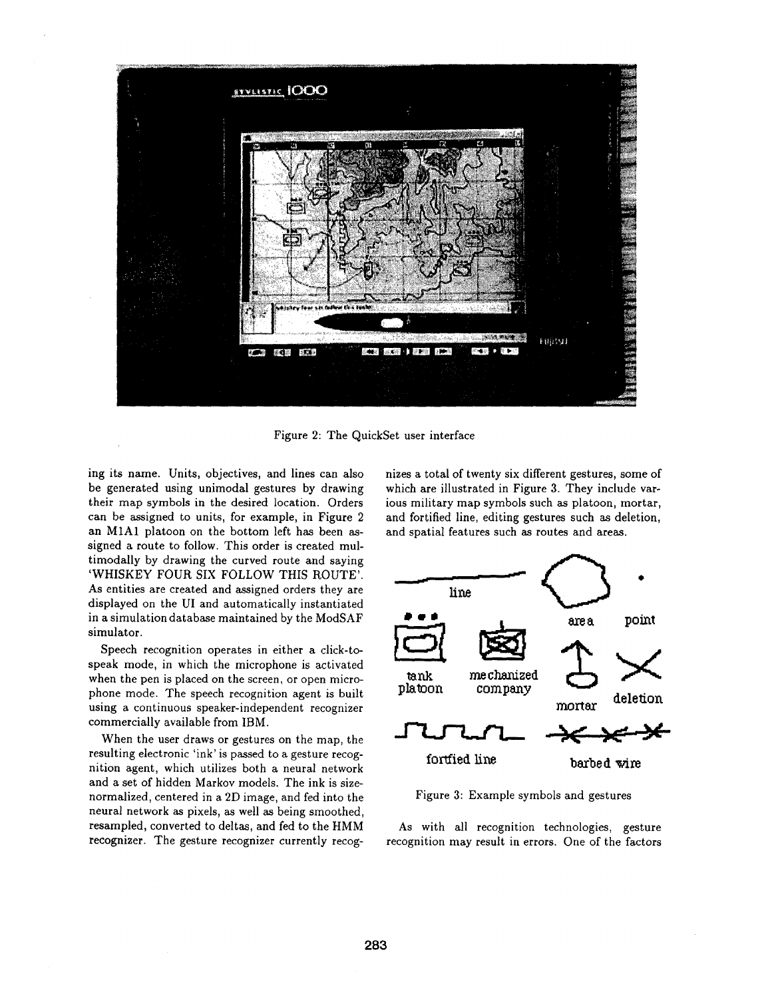

Figure 2: The QuickSet user interface

ing its name. Units, objectives, and lines can also be generated using unimodal gestures by drawing their map symbols in the desired location. Orders can be assigned to units, for example, in Figure 2 an M1A1 platoon on the bottom left has been assigned a route to follow. This order is created multimodally by drawing the curved route and saying 'WHISKEY FOUR SIX FOLLOW THIS ROUTE'. As entities are created and assigned orders they are displayed on the UI and automatically instantiated in a simulation database maintained by the ModSAF simulator.

Speech recognition operates in either a click-tospeak mode, in which the microphone is activated when the pen is placed on the screen, or open microphone mode. The speech recognition agent is built using a continuous speaker-independent recognizer commercially available from IBM.

When the user draws or gestures on the map, the resulting electronic 'ink' is passed to a gesture recognition agent, which utilizes both a neural network and a set of hidden Markov models. The ink is sizenormalized, centered in a 2D image, and fed into the neural network as pixels, as well as being smoothed, resampled, converted to deltas, and fed to the HMM recognizer. The gesture recognizer currently recognizes a total of twenty six different gestures, some of which are illustrated in Figure 3. They include various military map symbols such as platoon, mortar, and fortified line, editing gestures such as deletion, and spatial features such as routes and areas.



Figure 3: Example symbols and gestures

As with all recognition technologies, gesture recognition may result in errors. One of the factors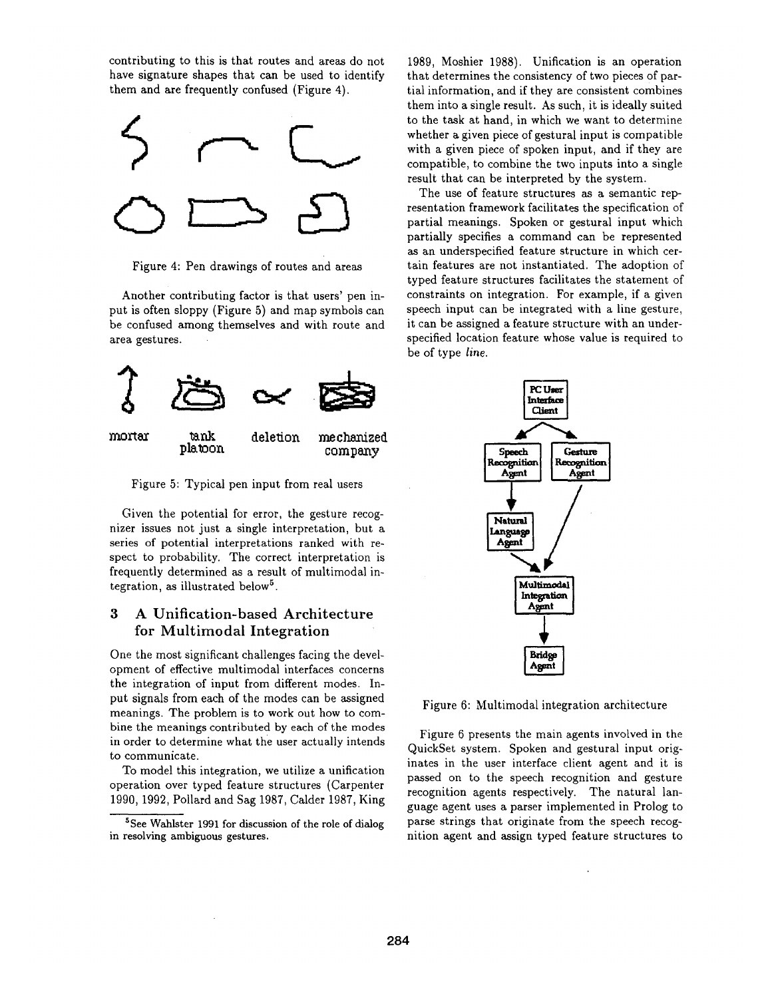contributing to this is that routes and areas do not have signature shapes that can be used to identify them and are frequently confused (Figure 4).



Figure 4: Pen drawings of routes and areas

Another contributing factor is that users' pen input is often sloppy (Figure 5) and map symbols can be confused among themselves and with route and area gestures.



Figure 5: Typical pen input from real users

Given the potential for error, the gesture recognizer issues not just a single interpretation, but a series of potential interpretations ranked with respect to probability. The correct interpretation is frequently determined as a result of multimodal integration, as illustrated below<sup>5</sup>.

## 3 A Unification-based Architecture for Multimodal Integration

One the most significant challenges facing the development of effective multimodal interfaces concerns the integration of input from different modes. Input signals from each of the modes can be assigned meanings. The problem is to work out how to combine the meanings contributed by each of the modes in order to determine what the user actually intends to communicate.

To model this integration, we utilize a unification operation over typed feature structures (Carpenter 1990, 1992, Pollard and Sag 1987, Calder 1987, King 1989, Moshier 1988). Unification is an operation that determines the consistency of two pieces of partial information, and if they are consistent combines them into a single result. As such, it is ideally suited to the task at hand, in which we want to determine whether a given piece of gestural input is compatible with a given piece of spoken input, and if they are compatible, to combine the two inputs into a single result that can be interpreted by the system.

The use of feature structures as a semantic representation framework facilitates the specification of partial meanings. Spoken or gestural input which partially specifies a command can be represented as an underspecified feature structure in which certain features are not instantiated. The adoption of typed feature structures facilitates the statement of constraints on integration. For example, if a given speech input can be integrated with a line gesture, it can be assigned a feature structure with an underspecified location feature whose value is required to be of type *line.* 



Figure 6: Multimodal integration architecture

Figure 6 presents the main agents involved in the QuickSet system. Spoken and gestural input originates in the user interface client agent and it is passed on to the speech recognition and gesture recognition agents respectively. The natural language agent uses a parser implemented in Prolog to parse strings that originate from the speech recognition agent and assign typed feature structures to

<sup>&</sup>lt;sup>5</sup>See Wahlster 1991 for discussion of the role of dialog in resolving ambiguous gestures.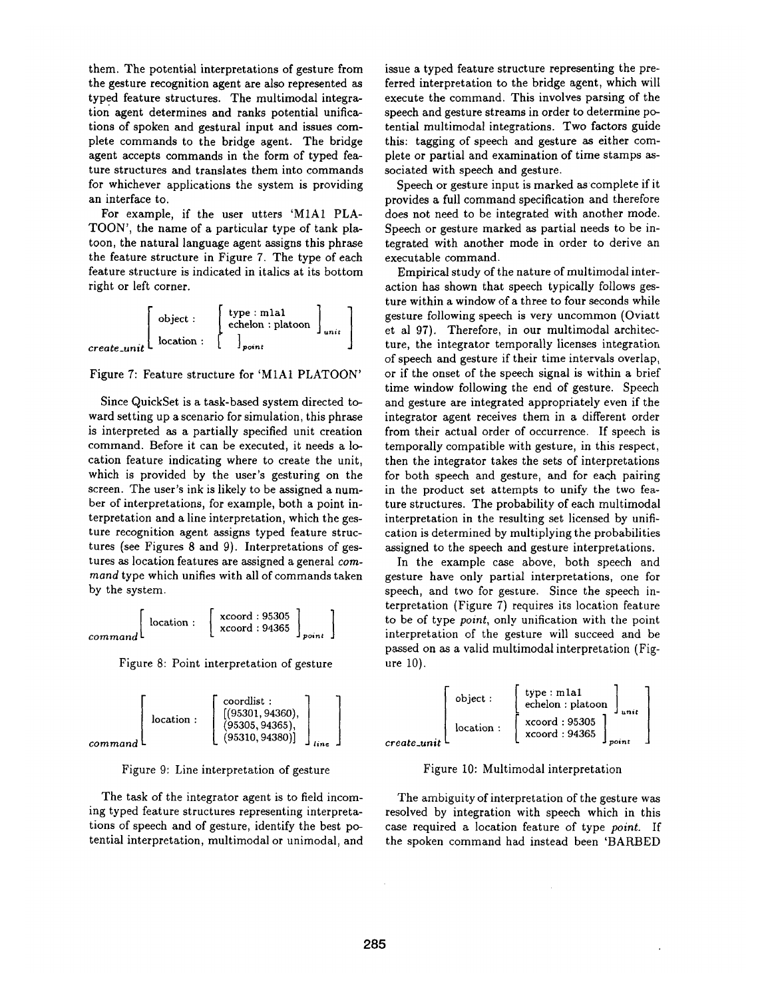them. The potential interpretations of gesture from the gesture recognition agent are also represented as typed feature structures. The multimodal integration agent determines and ranks potential unifications of spoken and gestural input and issues complete commands to the bridge agent. The bridge agent accepts commands in the form of typed feature structures and translates them into commands for whichever applications the system is providing an interface to.

For example, if the user utters 'M1A1 PLA-TOON', the name of a particular type of tank platoon, the natural language agent assigns this phrase the feature structure in Figure 7. The type of each feature structure is indicated in italics at its bottom right or left corner.



### Figure 7: Feature structure for 'M1A1 PLATOON'

Since QuickSet is a task-based system directed toward setting up a scenario for simulation, this phrase is interpreted as a partially specified unit creation command. Before it can be executed, it needs a location feature indicating where to create the unit, which is provided by the user's gesturing on the screen. The user's ink is likely to be assigned a number of interpretations, for example, both a point interpretation and a line interpretation, which the gesture recognition agent assigns typed feature structures (see Figures 8 and 9). Interpretations of gestures as location features are assigned a general *command* type which unifies with all of commands taken by the system.

$$
\begin{bmatrix} \text{location}: & \left[ \begin{array}{c} \text{xcoord}: 95305 \\ \text{xcoord}: 94365 \end{array} \right]_{point} \end{bmatrix}
$$

Figure 8: Point interpretation of gesture



Figure 9: Line interpretation of gesture

The task of the integrator agent is to field incoming typed feature structures representing interpretations of speech and of gesture, identify the best potential interpretation, multimodal or unimodal, and

issue a typed feature structure representing the preferred interpretation to the bridge agent, which will execute the command. This involves parsing of the speech and gesture streams in order to determine potential multimodal integrations. Two factors guide this: tagging of speech and gesture as either complete or partial and examination of time stamps associated with speech and gesture.

Speech or gesture input is marked as complete if it provides a full command specification and therefore does not need to be integrated with another mode. Speech or gesture marked as partial needs to be integrated with another mode in order to derive an executable command.

Empirical study of the nature of multimodal interaction has shown that speech typically follows gesture within a window of a three to four seconds while gesture following speech is very uncommon (Oviatt et al 97). Therefore, in our multimodal architecture, the integrator temporally licenses integration of speech and gesture if their time intervals overlap, or if the onset of the speech signal is within a brief time window following the end of gesture. Speech and gesture are integrated appropriately even if the integrator agent receives them in a different order from their actual order of occurrence. If speech is temporally compatible with gesture, in this respect, then the integrator takes the sets of interpretations for both speech and gesture, and for each pairing in the product set attempts to unify the two feature structures. The probability of each multimodal interpretation in the resulting set licensed by unification is determined by multiplying the probabilities assigned to the speech and gesture interpretations.

In the example case above, both speech and gesture have only partial interpretations, one for speech, and two for gesture. Since the speech interpretation (Figure 7) requires its location feature to be of type *point,* only unification with the point interpretation of the gesture will succeed and be passed on as a valid multimodal interpretation (Figure 10).



Figure 10: Multimodal interpretation

The ambiguity of interpretation of the gesture was resolved by integration with speech which in this case required a location feature of type *point.* If the spoken command had instead been 'BARBED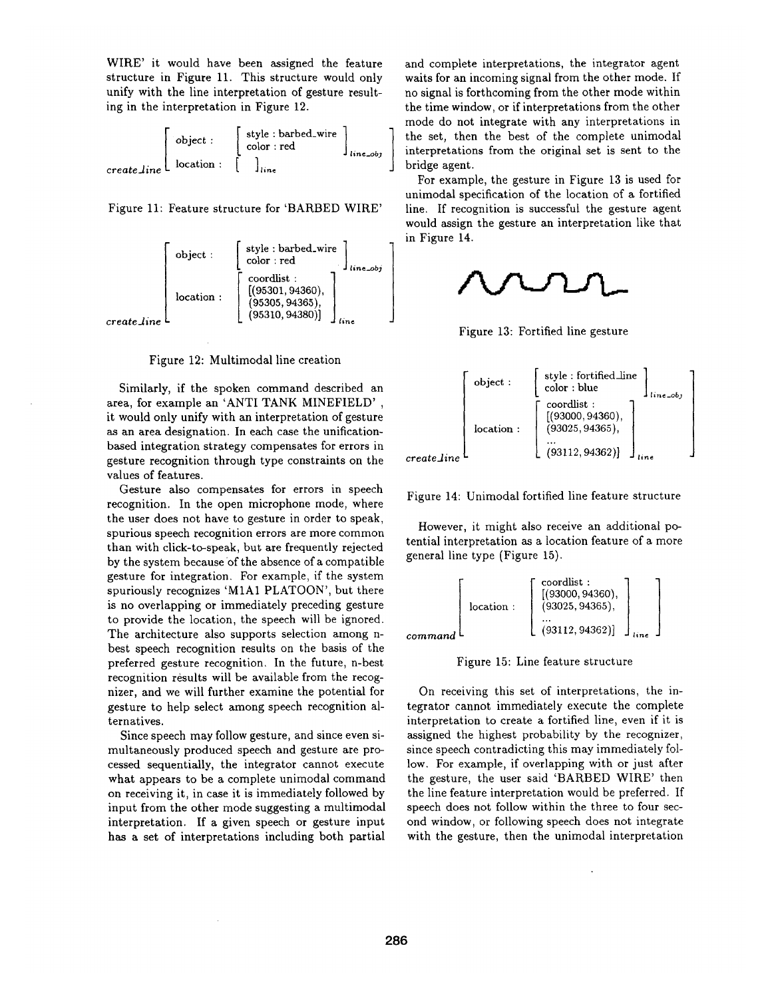WIRE' it would have been assigned the feature structure in Figure 11. This structure would only unify with the line interpretation of gesture resulting in the interpretation in Figure 12.



Figure 11: Feature structure for 'BARBED WIRE'



Figure 12: Multimodal line creation

Similarly, if the spoken command described an area, for example an 'ANTI TANK MINEFIELD' , it would only unify with an interpretation of gesture as an area designation. In each case the unificationbased integration strategy compensates for errors in gesture recognition through type constraints on the values of features.

Gesture also compensates for errors in speech recognition. In the open microphone mode, where the user does not have to gesture in order to speak, spurious speech recognition errors are more common than with click-to-speak, but are frequently rejected by the system because of the absence of a compatible gesture for integration. For example, if the system spuriously recognizes 'M1A1 PLATOON', but there is no overlapping or immediately preceding gesture to provide the location, the speech will be ignored. The architecture also supports selection among nbest speech recognition results on the basis of the preferred gesture recognition. In the future, n-best recognition results will be available from the recognizer, and we will further examine the potential for gesture to help select among speech recognition alternatives.

Since speech may follow gesture, and since even simultaneously produced speech and gesture are processed sequentially, the integrator cannot execute what appears to be a complete unimodal command on receiving it, in case it is immediately followed by input from the other mode suggesting a multimodal interpretation. If a given speech or gesture input has a set of interpretations including both partial and complete interpretations, the integrator agent waits for an incoming signal from the other mode. If no signal is forthcoming from the other mode within the time window, or if interpretations from the other mode do not integrate with any interpretations in the set, then the best of the complete unimodal interpretations from the original set is sent to the bridge agent.

For example, the gesture in Figure 13 is used for unimodal specification of the location of a fortified line. If recognition is successful the gesture agent would assign the gesture an interpretation like that in Figure 14.



Figure 13: Fortified line gesture



Figure 14: Unimodal fortified line feature structure

However, it might also receive an additional potential interpretation as a location feature of a more general line type (Figure 15).



Figure 15: Line feature structure

On receiving this set of interpretations, the integrator cannot immediately execute the complete interpretation to create a fortified line, even if it is assigned the highest probability by the recognizer, since speech contradicting this may immediately follow. For example, if overlapping with or just after the gesture, the user said 'BARBED WIRE' then the line feature interpretation would be preferred. If speech does not follow within the three to four second window, or following speech does not integrate with the gesture, then the unimodal interpretation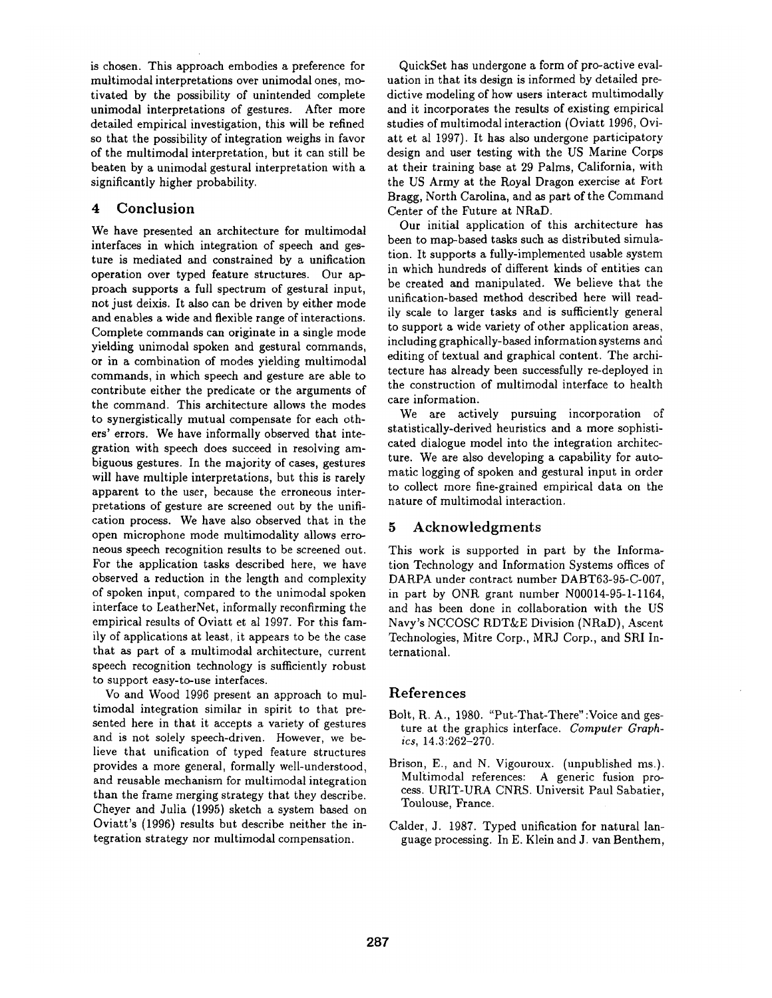is chosen. This approach embodies a preference for multimodal interpretations over unimodal ones, motivated by the possibility of unintended complete unimodal interpretations of gestures. After more detailed empirical investigation, this will be refined so that the possibility of integration weighs in favor of the multimodal interpretation, but it can still be beaten by a unimodal gestural interpretation with a significantly higher probability.

## **4 Conclusion**

We have presented an architecture for multimodal interfaces in which integration of speech and gesture is mediated and constrained by a unification operation over typed feature structures. Our approach supports a full spectrum of gestural input, not just deixis. It also can be driven by either mode and enables a wide and flexible range of interactions. Complete commands can originate in a single mode yielding unimodal spoken and gestural commands, or in a combination of modes yielding multimodal commands, in which speech and gesture are able to contribute either the predicate or the arguments of the command. This architecture allows the modes to synergistically mutual compensate for each others' errors. We have informally observed that integration with speech does succeed in resolving ambiguous gestures. In the majority of cases, gestures will have multiple interpretations, but this is rarely apparent to the user, because the erroneous interpretations of gesture are screened out by the unification process. We have also observed that in the open microphone mode multimodality allows erroneous speech recognition results to be screened out. For the application tasks described here, we have observed a reduction in the length and complexity of spoken input, compared to the unimodal spoken interface to LeatherNet, informally reconfirming the empirical results of Oviatt et al 1997. For this family of applications at least, it appears to be the case that as part of a multimodal architecture, current speech recognition technology is sufficiently robust to support easy-to-use interfaces.

Vo and Wood 1996 present an approach to multimodal integration similar in spirit to that presented here in that it accepts a variety of gestures and is not solely speech-driven. However, we believe that unification of typed feature structures provides a more general, formally well-understood, and reusable mechanism for multimodal integration than the frame merging strategy that they describe. Cheyer and Julia (1995) sketch a system based on Oviatt's (1996) results but describe neither the integration strategy nor multimodal compensation.

QuickSet has undergone a form of pro-active evaluation in that its design is informed by detailed predictive modeling of how users interact multimodally and it incorporates the results of existing empirical studies of multimodal interaction (Oviatt 1996, Oviatt et al 1997). It has also undergone participatory design and user testing with the US Marine Corps at their training base at 29 Palms, California, with the US Army at the Royal Dragon exercise at Fort Bragg, North Carolina, and as part of the Command Center of the Future at NRaD.

Our initial application of this architecture has been to map-based tasks such as distributed simulation. It supports a fully-implemented usable system in which hundreds of different kinds of entities can be created and manipulated. We believe that the unification-based method described here will readily scale to larger tasks and is sufficiently general to support a wide variety of other application areas, including graphically-based information systems and editing of textual and graphical content. The architecture has already been successfully re-deployed in the construction of multimodal interface to health care information.

We are actively pursuing incorporation of statistically-derived heuristics and a more sophisticated dialogue model into the integration architecture. We are also developing a capability for automatic logging of spoken and gestural input in order to collect more fine-grained empirical data on the nature of multimodal interaction.

## 5 Acknowledgments

This work is supported in part by the Information Technology and Information Systems offices of DARPA under contract number DABT63-95-C-007, in part by ONR grant number N00014-95-1-1164, and has been done in collaboration with the US Navy's NCCOSC RDT&E Division (NRaD), Ascent Technologies, Mitre Corp., MRJ Corp., and SRI International.

## References

- Bolt, R. A., 1980. "Put-That-There" :Voice and gesture at the graphics interface. *Computer Graphics,* 14.3:262-270.
- Brison, E., and N. Vigouroux. (unpublished ms.). Multimodal references: A generic fusion process. URIT-URA CNRS. Universit Paul Sabatier, Toulouse, France.
- Calder, J. 1987. Typed unification for natural language processing. In E. Klein and J. van Benthem,